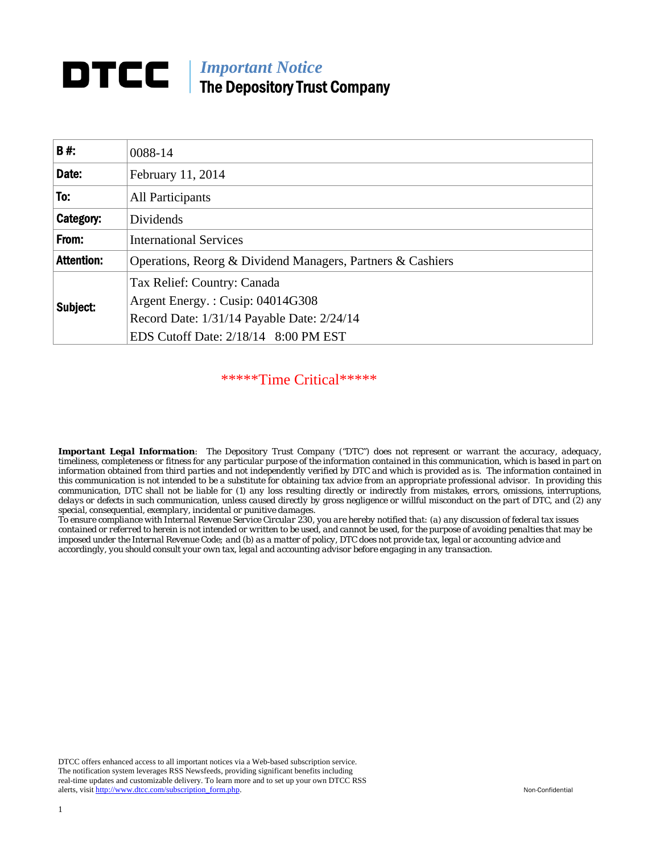# *Important Notice*  The Depository Trust Company

| <b>B#</b>         | 0088-14                                                    |
|-------------------|------------------------------------------------------------|
| Date:             | February 11, 2014                                          |
| To:               | All Participants                                           |
| Category:         | Dividends                                                  |
| From:             | <b>International Services</b>                              |
| <b>Attention:</b> | Operations, Reorg & Dividend Managers, Partners & Cashiers |
| Subject:          | Tax Relief: Country: Canada                                |
|                   | Argent Energy.: Cusip: 04014G308                           |
|                   | Record Date: 1/31/14 Payable Date: 2/24/14                 |
|                   | EDS Cutoff Date: 2/18/14 8:00 PM EST                       |

\*\*\*\*\*Time Critical\*\*\*\*\*

*Important Legal Information: The Depository Trust Company ("DTC") does not represent or warrant the accuracy, adequacy, timeliness, completeness or fitness for any particular purpose of the information contained in this communication, which is based in part on information obtained from third parties and not independently verified by DTC and which is provided as is. The information contained in this communication is not intended to be a substitute for obtaining tax advice from an appropriate professional advisor. In providing this communication, DTC shall not be liable for (1) any loss resulting directly or indirectly from mistakes, errors, omissions, interruptions, delays or defects in such communication, unless caused directly by gross negligence or willful misconduct on the part of DTC, and (2) any special, consequential, exemplary, incidental or punitive damages.* 

*To ensure compliance with Internal Revenue Service Circular 230, you are hereby notified that: (a) any discussion of federal tax issues contained or referred to herein is not intended or written to be used, and cannot be used, for the purpose of avoiding penalties that may be imposed under the Internal Revenue Code; and (b) as a matter of policy, DTC does not provide tax, legal or accounting advice and accordingly, you should consult your own tax, legal and accounting advisor before engaging in any transaction.* 

DTCC offers enhanced access to all important notices via a Web-based subscription service. The notification system leverages RSS Newsfeeds, providing significant benefits including real-time updates and customizable delivery. To learn more and to set up your own DTCC RSS alerts, visit http://www.dtcc.com/subscription\_form.php. Non-Confidential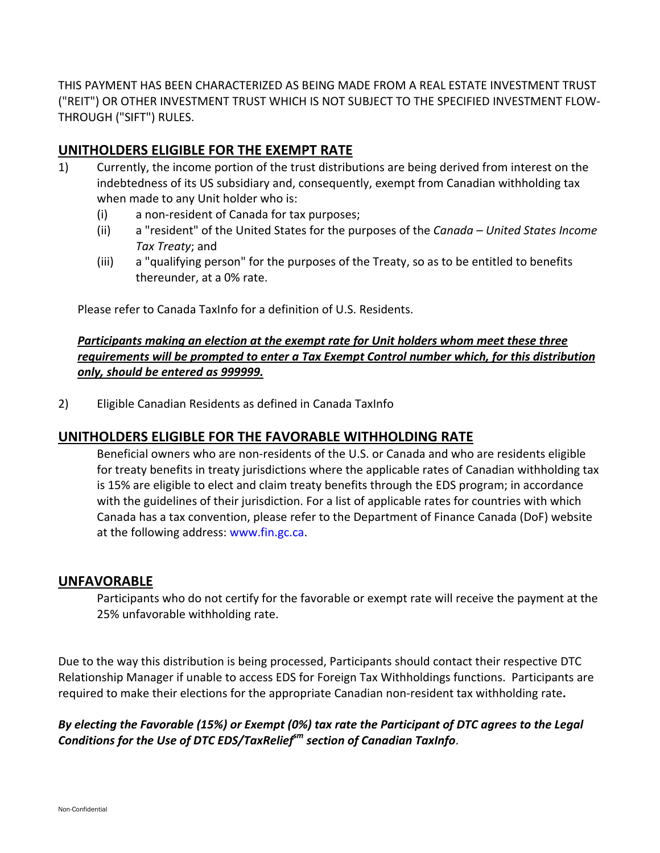THIS PAYMENT HAS BEEN CHARACTERIZED AS BEING MADE FROM A REAL ESTATE INVESTMENT TRUST ("REIT") OR OTHER INVESTMENT TRUST WHICH IS NOT SUBJECT TO THE SPECIFIED INVESTMENT FLOW‐ THROUGH ("SIFT") RULES.

## **UNITHOLDERS ELIGIBLE FOR THE EXEMPT RATE**

- 1) Currently, the income portion of the trust distributions are being derived from interest on the indebtedness of its US subsidiary and, consequently, exempt from Canadian withholding tax when made to any Unit holder who is:
	- (i) a non‐resident of Canada for tax purposes;
	- (ii) a "resident" of the United States for the purposes of the *Canada – United States Income Tax Treaty*; and
	- (iii) a "qualifying person" for the purposes of the Treaty, so as to be entitled to benefits thereunder, at a 0% rate.

Please refer to Canada TaxInfo for a definition of U.S. Residents.

#### *Participants making an election at the exempt rate for Unit holders whom meet these three requirements will be prompted to enter a Tax Exempt Control number which, for this distribution only, should be entered as 999999.*

2) Eligible Canadian Residents as defined in Canada TaxInfo

## **UNITHOLDERS ELIGIBLE FOR THE FAVORABLE WITHHOLDING RATE**

Beneficial owners who are non‐residents of the U.S. or Canada and who are residents eligible for treaty benefits in treaty jurisdictions where the applicable rates of Canadian withholding tax is 15% are eligible to elect and claim treaty benefits through the EDS program; in accordance with the guidelines of their jurisdiction. For a list of applicable rates for countries with which Canada has a tax convention, please refer to the Department of Finance Canada (DoF) website at the following address: www.fin.gc.ca.

#### **UNFAVORABLE**

Participants who do not certify for the favorable or exempt rate will receive the payment at the 25% unfavorable withholding rate.

Due to the way this distribution is being processed, Participants should contact their respective DTC Relationship Manager if unable to access EDS for Foreign Tax Withholdings functions. Participants are required to make their elections for the appropriate Canadian non‐resident tax withholding rate**.**

## *By electing the Favorable (15%) or Exempt (0%) tax rate the Participant of DTC agrees to the Legal Conditions* for the Use of DTC *EDS*/TaxRelief<sup>*m*</sup> section of Canadian TaxInfo.